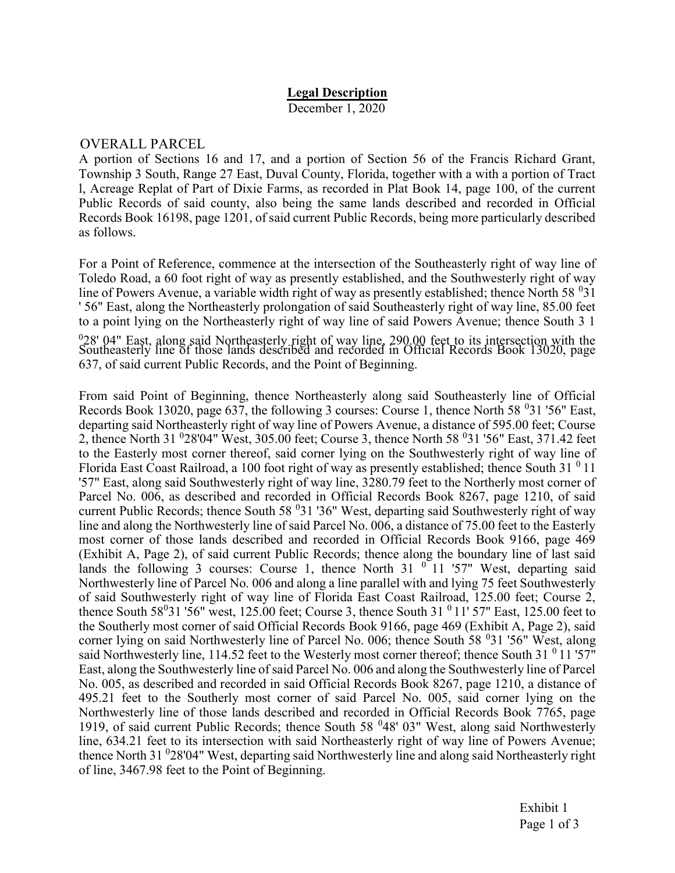## Legal Description

December 1, 2020

## OVERALL PARCEL

A portion of Sections 16 and 17, and a portion of Section 56 of the Francis Richard Grant, Township 3 South, Range 27 East, Duval County, Florida, together with a with a portion of Tract l, Acreage Replat of Part of Dixie Farms, as recorded in Plat Book 14, page 100, of the current Public Records of said county, also being the same lands described and recorded in Official Records Book 16198, page 1201, of said current Public Records, being more particularly described as follows.

For a Point of Reference, commence at the intersection of the Southeasterly right of way line of Toledo Road, a 60 foot right of way as presently established, and the Southwesterly right of way line of Powers Avenue, a variable width right of way as presently established; thence North 58 $\,^0$ 31 ' 56" East, along the Northeasterly prolongation of said Southeasterly right of way line, 85.00 feet to a point lying on the Northeasterly right of way line of said Powers Avenue; thence South 3 1 0 28' 04" East, along said Northeasterly right of way line, 290.00 feet to its intersection with the Southeasterly line of those lands described and recorded in Official Records Book 13020, page 637, of said current Public Records, and the Point of Beginning.

From said Point of Beginning, thence Northeasterly along said Southeasterly line of Official Records Book 13020, page 637, the following 3 courses: Course 1, thence North 58  $\,^{0}$ 31 '56" East, departing said Northeasterly right of way line of Powers Avenue, a distance of 595.00 feet; Course 2, thence North 31 <sup>0</sup>28'04" West, 305.00 feet; Course 3, thence North 58 <sup>0</sup>31 '56" East, 371.42 feet to the Easterly most corner thereof, said corner lying on the Southwesterly right of way line of Florida East Coast Railroad, a 100 foot right of way as presently established; thence South 31 $<sup>0</sup>11$ </sup> '57" East, along said Southwesterly right of way line, 3280.79 feet to the Northerly most corner of Parcel No. 006, as described and recorded in Official Records Book 8267, page 1210, of said current Public Records; thence South 58 <sup>0</sup>31 '36" West, departing said Southwesterly right of way line and along the Northwesterly line of said Parcel No. 006, a distance of 75.00 feet to the Easterly most corner of those lands described and recorded in Official Records Book 9166, page 469 (Exhibit A, Page 2), of said current Public Records; thence along the boundary line of last said lands the following 3 courses: Course 1, thence North 31  $\degree$  11 '57" West, departing said Northwesterly line of Parcel No. 006 and along a line parallel with and lying 75 feet Southwesterly of said Southwesterly right of way line of Florida East Coast Railroad, 125.00 feet; Course 2, thence South  $58^0$ 31 '56" west, 125.00 feet; Course 3, thence South 31  $^0$  11' 57" East, 125.00 feet to the Southerly most corner of said Official Records Book 9166, page 469 (Exhibit A, Page 2), said corner lying on said Northwesterly line of Parcel No. 006; thence South 58 <sup>0</sup>31 '56" West, along said Northwesterly line, 114.52 feet to the Westerly most corner thereof; thence South 31 $^{0}$  11'57" East, along the Southwesterly line of said Parcel No. 006 and along the Southwesterly line of Parcel No. 005, as described and recorded in said Official Records Book 8267, page 1210, a distance of 495.21 feet to the Southerly most corner of said Parcel No. 005, said corner lying on the Northwesterly line of those lands described and recorded in Official Records Book 7765, page 1919, of said current Public Records; thence South 58<sup>0</sup>48' 03" West, along said Northwesterly line, 634.21 feet to its intersection with said Northeasterly right of way line of Powers Avenue; thence North 31 <sup>0</sup>28'04" West, departing said Northwesterly line and along said Northeasterly right of line, 3467.98 feet to the Point of Beginning.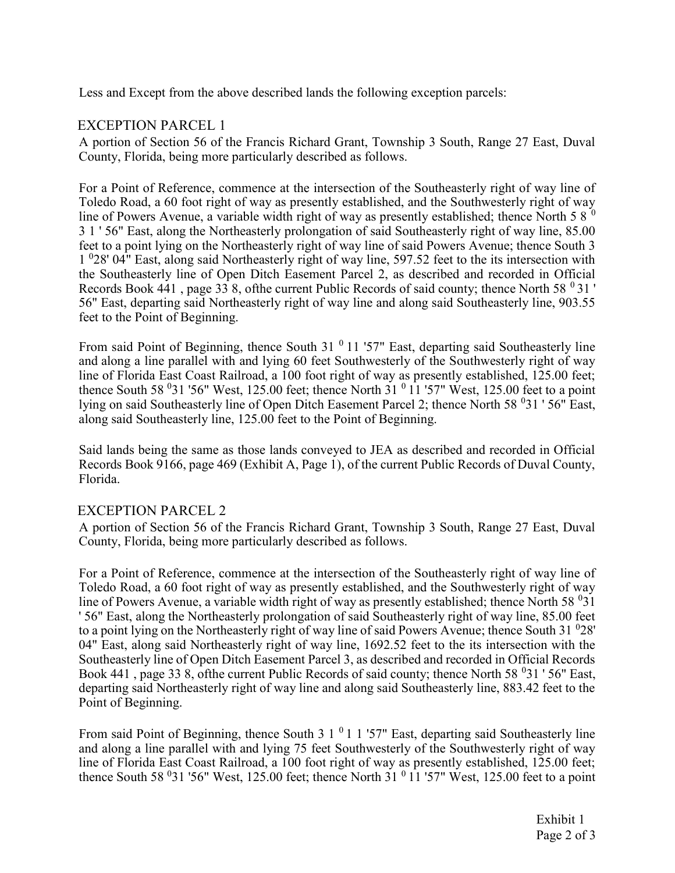Less and Except from the above described lands the following exception parcels:

## EXCEPTION PARCEL 1

A portion of Section 56 of the Francis Richard Grant, Township 3 South, Range 27 East, Duval County, Florida, being more particularly described as follows.

For a Point of Reference, commence at the intersection of the Southeasterly right of way line of Toledo Road, a 60 foot right of way as presently established, and the Southwesterly right of way line of Powers Avenue, a variable width right of way as presently established; thence North 5 8  $^{\circ}$ 3 1 ' 56" East, along the Northeasterly prolongation of said Southeasterly right of way line, 85.00 feet to a point lying on the Northeasterly right of way line of said Powers Avenue; thence South 3 1 <sup>0</sup>28' 04" East, along said Northeasterly right of way line, 597.52 feet to the its intersection with the Southeasterly line of Open Ditch Easement Parcel 2, as described and recorded in Official Records Book 441, page 33 8, of the current Public Records of said county; thence North 58  $\degree$ 31 ' 56" East, departing said Northeasterly right of way line and along said Southeasterly line, 903.55 feet to the Point of Beginning.

From said Point of Beginning, thence South 31 $<sup>0</sup>$  11 '57" East, departing said Southeasterly line</sup> and along a line parallel with and lying 60 feet Southwesterly of the Southwesterly right of way line of Florida East Coast Railroad, a 100 foot right of way as presently established, 125.00 feet; thence South 58  $\textdegree{31}$  '56" West, 125.00 feet; thence North 31  $\textdegree{11}$  '57" West, 125.00 feet to a point lying on said Southeasterly line of Open Ditch Easement Parcel 2; thence North 58<sup>0</sup>31'56" East, along said Southeasterly line, 125.00 feet to the Point of Beginning.

Said lands being the same as those lands conveyed to JEA as described and recorded in Official Records Book 9166, page 469 (Exhibit A, Page 1), of the current Public Records of Duval County, Florida.

## EXCEPTION PARCEL 2

A portion of Section 56 of the Francis Richard Grant, Township 3 South, Range 27 East, Duval County, Florida, being more particularly described as follows.

For a Point of Reference, commence at the intersection of the Southeasterly right of way line of Toledo Road, a 60 foot right of way as presently established, and the Southwesterly right of way line of Powers Avenue, a variable width right of way as presently established; thence North 58 $\,^031$ ' 56" East, along the Northeasterly prolongation of said Southeasterly right of way line, 85.00 feet to a point lying on the Northeasterly right of way line of said Powers Avenue; thence South  $31\text{ }^028'$ 04" East, along said Northeasterly right of way line, 1692.52 feet to the its intersection with the Southeasterly line of Open Ditch Easement Parcel 3, as described and recorded in Official Records Book 441, page 33 8, of the current Public Records of said county; thence North 58  $\textdegree$ 31 ' 56" East, departing said Northeasterly right of way line and along said Southeasterly line, 883.42 feet to the Point of Beginning.

From said Point of Beginning, thence South  $3 \times 10^{-1}$  1 '57" East, departing said Southeasterly line and along a line parallel with and lying 75 feet Southwesterly of the Southwesterly right of way line of Florida East Coast Railroad, a 100 foot right of way as presently established, 125.00 feet; thence South 58  $^{0}$ 31 '56" West, 125.00 feet; thence North 31  $^{0}$  11 '57" West, 125.00 feet to a point